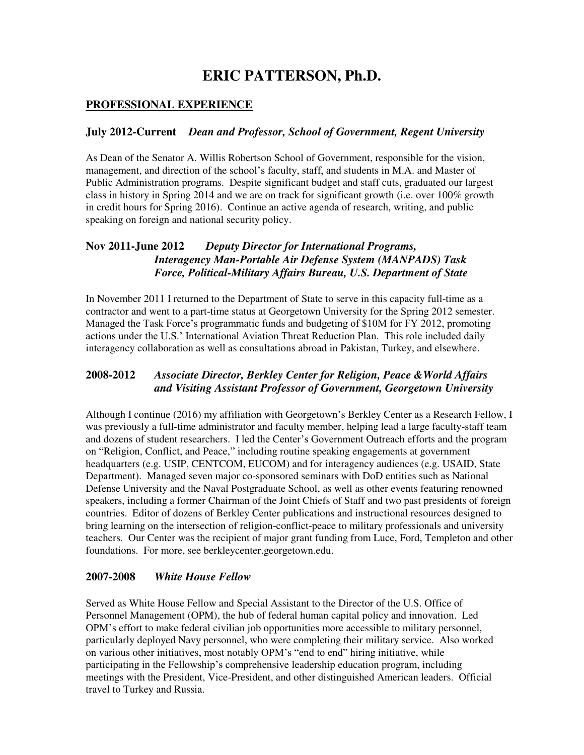# **ERIC PATTERSON, Ph.D.**

## **PROFESSIONAL EXPERIENCE**

#### **July 2012-Current** *Dean and Professor, School of Government, Regent University*

As Dean of the Senator A. Willis Robertson School of Government, responsible for the vision, management, and direction of the school's faculty, staff, and students in M.A. and Master of Public Administration programs. Despite significant budget and staff cuts, graduated our largest class in history in Spring 2014 and we are on track for significant growth (i.e. over 100% growth in credit hours for Spring 2016). Continue an active agenda of research, writing, and public speaking on foreign and national security policy.

## **Nov 2011-June 2012** *Deputy Director for International Programs, Interagency Man-Portable Air Defense System (MANPADS) Task Force, Political-Military Affairs Bureau, U.S. Department of State*

In November 2011 I returned to the Department of State to serve in this capacity full-time as a contractor and went to a part-time status at Georgetown University for the Spring 2012 semester. Managed the Task Force's programmatic funds and budgeting of \$10M for FY 2012, promoting actions under the U.S.' International Aviation Threat Reduction Plan. This role included daily interagency collaboration as well as consultations abroad in Pakistan, Turkey, and elsewhere.

## **2008-2012** *Associate Director, Berkley Center for Religion, Peace &World Affairs and Visiting Assistant Professor of Government, Georgetown University*

Although I continue (2016) my affiliation with Georgetown's Berkley Center as a Research Fellow, I was previously a full-time administrator and faculty member, helping lead a large faculty-staff team and dozens of student researchers. I led the Center's Government Outreach efforts and the program on "Religion, Conflict, and Peace," including routine speaking engagements at government headquarters (e.g. USIP, CENTCOM, EUCOM) and for interagency audiences (e.g. USAID, State Department). Managed seven major co-sponsored seminars with DoD entities such as National Defense University and the Naval Postgraduate School, as well as other events featuring renowned speakers, including a former Chairman of the Joint Chiefs of Staff and two past presidents of foreign countries. Editor of dozens of Berkley Center publications and instructional resources designed to bring learning on the intersection of religion-conflict-peace to military professionals and university teachers. Our Center was the recipient of major grant funding from Luce, Ford, Templeton and other foundations. For more, see berkleycenter.georgetown.edu.

#### **2007-2008** *White House Fellow*

Served as White House Fellow and Special Assistant to the Director of the U.S. Office of Personnel Management (OPM), the hub of federal human capital policy and innovation. Led OPM's effort to make federal civilian job opportunities more accessible to military personnel, particularly deployed Navy personnel, who were completing their military service. Also worked on various other initiatives, most notably OPM's "end to end" hiring initiative, while participating in the Fellowship's comprehensive leadership education program, including meetings with the President, Vice-President, and other distinguished American leaders. Official travel to Turkey and Russia.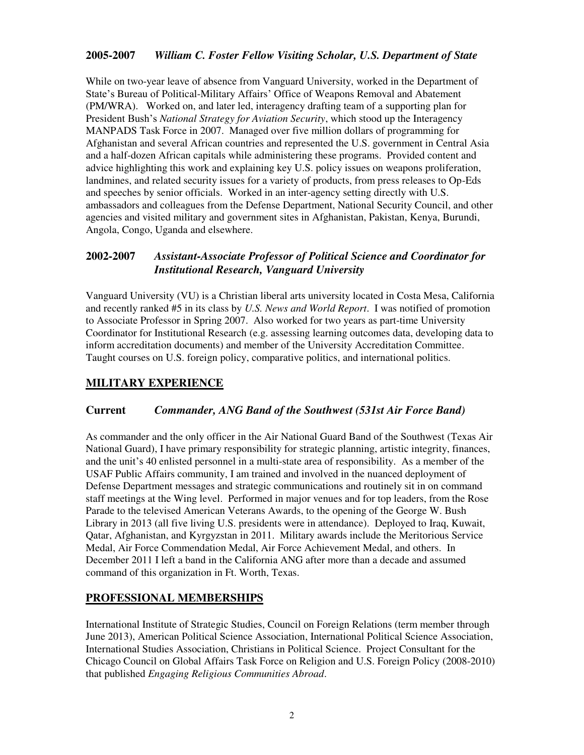### **2005-2007** *William C. Foster Fellow Visiting Scholar, U.S. Department of State*

While on two-year leave of absence from Vanguard University, worked in the Department of State's Bureau of Political-Military Affairs' Office of Weapons Removal and Abatement (PM/WRA). Worked on, and later led, interagency drafting team of a supporting plan for President Bush's *National Strategy for Aviation Security*, which stood up the Interagency MANPADS Task Force in 2007. Managed over five million dollars of programming for Afghanistan and several African countries and represented the U.S. government in Central Asia and a half-dozen African capitals while administering these programs. Provided content and advice highlighting this work and explaining key U.S. policy issues on weapons proliferation, landmines, and related security issues for a variety of products, from press releases to Op-Eds and speeches by senior officials. Worked in an inter-agency setting directly with U.S. ambassadors and colleagues from the Defense Department, National Security Council, and other agencies and visited military and government sites in Afghanistan, Pakistan, Kenya, Burundi, Angola, Congo, Uganda and elsewhere.

### **2002-2007** *Assistant-Associate Professor of Political Science and Coordinator for Institutional Research, Vanguard University*

Vanguard University (VU) is a Christian liberal arts university located in Costa Mesa, California and recently ranked #5 in its class by *U.S. News and World Report*. I was notified of promotion to Associate Professor in Spring 2007. Also worked for two years as part-time University Coordinator for Institutional Research (e.g. assessing learning outcomes data, developing data to inform accreditation documents) and member of the University Accreditation Committee. Taught courses on U.S. foreign policy, comparative politics, and international politics.

## **MILITARY EXPERIENCE**

#### **Current** *Commander, ANG Band of the Southwest (531st Air Force Band)*

As commander and the only officer in the Air National Guard Band of the Southwest (Texas Air National Guard), I have primary responsibility for strategic planning, artistic integrity, finances, and the unit's 40 enlisted personnel in a multi-state area of responsibility. As a member of the USAF Public Affairs community, I am trained and involved in the nuanced deployment of Defense Department messages and strategic communications and routinely sit in on command staff meetings at the Wing level. Performed in major venues and for top leaders, from the Rose Parade to the televised American Veterans Awards, to the opening of the George W. Bush Library in 2013 (all five living U.S. presidents were in attendance). Deployed to Iraq, Kuwait, Qatar, Afghanistan, and Kyrgyzstan in 2011. Military awards include the Meritorious Service Medal, Air Force Commendation Medal, Air Force Achievement Medal, and others. In December 2011 I left a band in the California ANG after more than a decade and assumed command of this organization in Ft. Worth, Texas.

#### **PROFESSIONAL MEMBERSHIPS**

International Institute of Strategic Studies, Council on Foreign Relations (term member through June 2013), American Political Science Association, International Political Science Association, International Studies Association, Christians in Political Science. Project Consultant for the Chicago Council on Global Affairs Task Force on Religion and U.S. Foreign Policy (2008-2010) that published *Engaging Religious Communities Abroad*.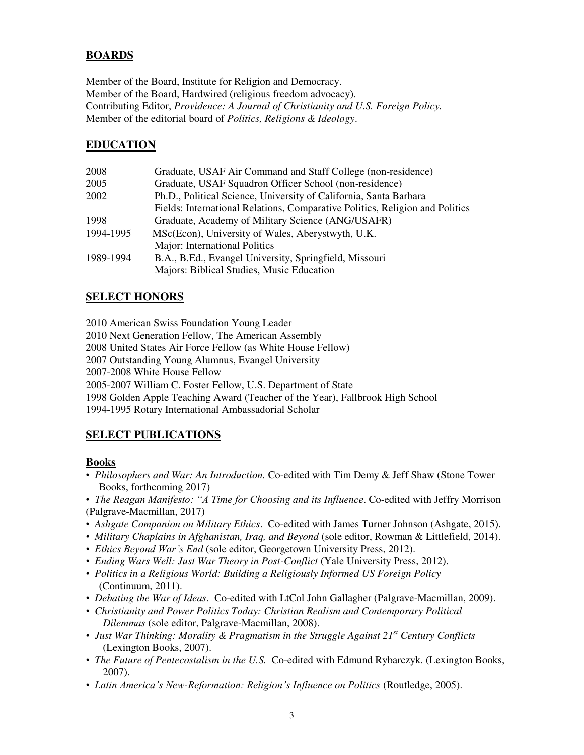## **BOARDS**

Member of the Board, Institute for Religion and Democracy. Member of the Board, Hardwired (religious freedom advocacy). Contributing Editor, *Providence: A Journal of Christianity and U.S. Foreign Policy.* Member of the editorial board of *Politics, Religions & Ideology*.

## **EDUCATION**

| Graduate, USAF Air Command and Staff College (non-residence)                 |
|------------------------------------------------------------------------------|
| Graduate, USAF Squadron Officer School (non-residence)                       |
| Ph.D., Political Science, University of California, Santa Barbara            |
| Fields: International Relations, Comparative Politics, Religion and Politics |
| Graduate, Academy of Military Science (ANG/USAFR)                            |
| MSc(Econ), University of Wales, Aberystwyth, U.K.                            |
| Major: International Politics                                                |
| B.A., B.Ed., Evangel University, Springfield, Missouri                       |
| Majors: Biblical Studies, Music Education                                    |
|                                                                              |

## **SELECT HONORS**

2010 American Swiss Foundation Young Leader

2010 Next Generation Fellow, The American Assembly

2008 United States Air Force Fellow (as White House Fellow)

2007 Outstanding Young Alumnus, Evangel University

2007-2008 White House Fellow

2005-2007 William C. Foster Fellow, U.S. Department of State

1998 Golden Apple Teaching Award (Teacher of the Year), Fallbrook High School

1994-1995 Rotary International Ambassadorial Scholar

## **SELECT PUBLICATIONS**

#### **Books**

- *Philosophers and War: An Introduction.* Co-edited with Tim Demy & Jeff Shaw (Stone Tower Books, forthcoming 2017)
- *The Reagan Manifesto: "A Time for Choosing and its Influence*. Co-edited with Jeffry Morrison (Palgrave-Macmillan, 2017)
- *Ashgate Companion on Military Ethics*. Co-edited with James Turner Johnson (Ashgate, 2015).
- *Military Chaplains in Afghanistan, Iraq, and Beyond* (sole editor, Rowman & Littlefield, 2014).
- *Ethics Beyond War's End* (sole editor, Georgetown University Press, 2012).
- *Ending Wars Well: Just War Theory in Post-Conflict* (Yale University Press, 2012).
- *Politics in a Religious World: Building a Religiously Informed US Foreign Policy* (Continuum, 2011).
- *Debating the War of Ideas*. Co-edited with LtCol John Gallagher (Palgrave-Macmillan, 2009).
- *Christianity and Power Politics Today: Christian Realism and Contemporary Political Dilemmas* (sole editor, Palgrave-Macmillan, 2008).
- *Just War Thinking: Morality & Pragmatism in the Struggle Against 21st Century Conflicts* (Lexington Books, 2007).
- *The Future of Pentecostalism in the U.S.* Co-edited with Edmund Rybarczyk. (Lexington Books, 2007).
- *Latin America's New-Reformation: Religion's Influence on Politics* (Routledge, 2005).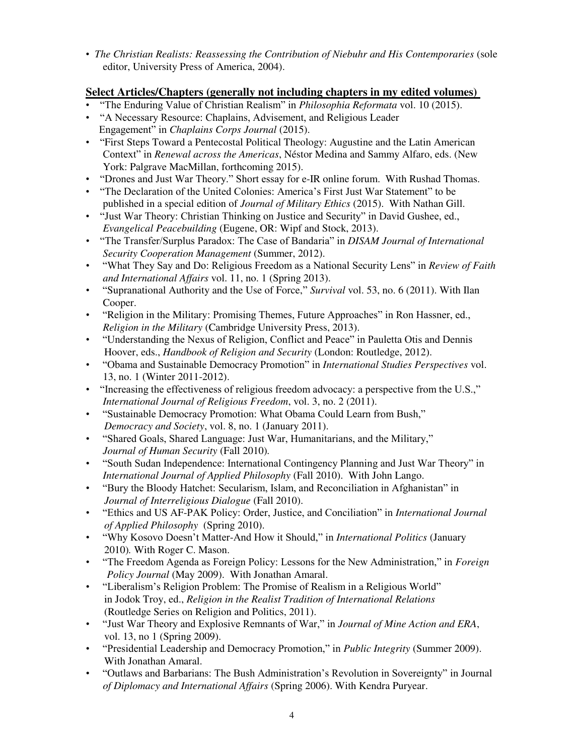• *The Christian Realists: Reassessing the Contribution of Niebuhr and His Contemporaries* (sole editor, University Press of America, 2004).

## **Select Articles/Chapters (generally not including chapters in my edited volumes)**

- "The Enduring Value of Christian Realism" in *Philosophia Reformata* vol. 10 (2015).
- "A Necessary Resource: Chaplains, Advisement, and Religious Leader Engagement" in *Chaplains Corps Journal* (2015).
- "First Steps Toward a Pentecostal Political Theology: Augustine and the Latin American Context" in *Renewal across the Americas*, Néstor Medina and Sammy Alfaro, eds. (New York: Palgrave MacMillan, forthcoming 2015).
- "Drones and Just War Theory." Short essay for e-IR online forum. With Rushad Thomas.
- "The Declaration of the United Colonies: America's First Just War Statement" to be published in a special edition of *Journal of Military Ethics* (2015). With Nathan Gill.
- "Just War Theory: Christian Thinking on Justice and Security" in David Gushee, ed., *Evangelical Peacebuilding* (Eugene, OR: Wipf and Stock, 2013).
- "The Transfer/Surplus Paradox: The Case of Bandaria" in *DISAM Journal of International Security Cooperation Management* (Summer, 2012).
- "What They Say and Do: Religious Freedom as a National Security Lens" in *Review of Faith and International Affairs* vol. 11, no. 1 (Spring 2013).
- "Supranational Authority and the Use of Force," *Survival* vol. 53, no. 6 (2011). With Ilan Cooper.
- "Religion in the Military: Promising Themes, Future Approaches" in Ron Hassner, ed., *Religion in the Military* (Cambridge University Press, 2013).
- "Understanding the Nexus of Religion, Conflict and Peace" in Pauletta Otis and Dennis Hoover, eds., *Handbook of Religion and Security* (London: Routledge, 2012).
- "Obama and Sustainable Democracy Promotion" in *International Studies Perspectives* vol. 13, no. 1 (Winter 2011-2012).
- "Increasing the effectiveness of religious freedom advocacy: a perspective from the U.S.," *International Journal of Religious Freedom*, vol. 3, no. 2 (2011).
- "Sustainable Democracy Promotion: What Obama Could Learn from Bush," *Democracy and Society*, vol. 8, no. 1 (January 2011).
- "Shared Goals, Shared Language: Just War, Humanitarians, and the Military," *Journal of Human Security* (Fall 2010)*.*
- "South Sudan Independence: International Contingency Planning and Just War Theory" in *International Journal of Applied Philosophy* (Fall 2010). With John Lango.
- "Bury the Bloody Hatchet: Secularism, Islam, and Reconciliation in Afghanistan" in *Journal of Interreligious Dialogue* (Fall 2010).
- "Ethics and US AF-PAK Policy: Order, Justice, and Conciliation" in *International Journal of Applied Philosophy* (Spring 2010).
- "Why Kosovo Doesn't Matter-And How it Should," in *International Politics* (January 2010)*.* With Roger C. Mason.
- "The Freedom Agenda as Foreign Policy: Lessons for the New Administration," in *Foreign Policy Journal* (May 2009). With Jonathan Amaral.
- "Liberalism's Religion Problem: The Promise of Realism in a Religious World" in Jodok Troy, ed., *Religion in the Realist Tradition of International Relations* (Routledge Series on Religion and Politics, 2011).
- "Just War Theory and Explosive Remnants of War," in *Journal of Mine Action and ERA*, vol. 13, no 1 (Spring 2009).
- "Presidential Leadership and Democracy Promotion," in *Public Integrity* (Summer 2009). With Jonathan Amaral.
- "Outlaws and Barbarians: The Bush Administration's Revolution in Sovereignty" in Journal *of Diplomacy and International Affairs* (Spring 2006). With Kendra Puryear.